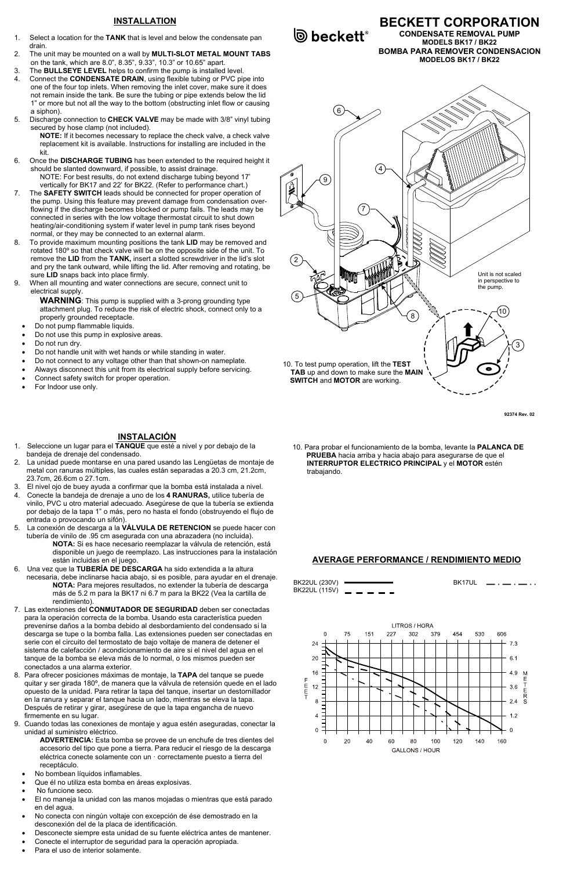# **INSTALLATION**

- 1. Select a location for the TANK that is level and below the condensate pan drain.
- 2. The unit may be mounted on a wall by MULTI-SLOT METAL MOUNT TABS on the tank, which are 8.0", 8.35", 9.33", 10.3" or 10.65" apart.
- 3. The BULLSEYE LEVEL helps to confirm the pump is installed level.
- Connect the **CONDENSATE DRAIN**, using flexible tubing or PVC pipe into one of the four top inlets. When removing the inlet cover, make sure it does not remain inside the tank. Be sure the tubing or pipe extends below the lid 1" or more but not all the way to the bottom (obstructing inlet flow or causing a siphon).
- 5. Discharge connection to CHECK VALVE may be made with 3/8" vinyl tubing secured by hose clamp (not included).

NOTE: If it becomes necessary to replace the check valve, a check valve replacement kit is available. Instructions for installing are included in the kit.

WARNING: This pump is supplied with a 3-prong grounding type attachment plug. To reduce the risk of electric shock, connect only to a properly grounded receptacle.

- 6. Once the DISCHARGE TUBING has been extended to the required height it should be slanted downward, if possible, to assist drainage. NOTE: For best results, do not extend discharge tubing beyond 17' vertically for BK17 and 22' for BK22. (Refer to performance chart.)
- 7. The SAFETY SWITCH leads should be connected for proper operation of the pump. Using this feature may prevent damage from condensation overflowing if the discharge becomes blocked or pump fails. The leads may be connected in series with the low voltage thermostat circuit to shut down heating/air-conditioning system if water level in pump tank rises beyond normal, or they may be connected to an external alarm.
- 8. To provide maximum mounting positions the tank LID may be removed and rotated 180º so that check valve will be on the opposite side of the unit. To remove the LID from the TANK, insert a slotted screwdriver in the lid's slot and pry the tank outward, while lifting the lid. After removing and rotating, be sure LID snaps back into place firmly.
- 9. When all mounting and water connections are secure, connect unit to electrical supply.

- Do not pump flammable liquids.
- Do not use this pump in explosive areas.
- Do not run dry.
- Do not handle unit with wet hands or while standing in water.
- Do not connect to any voltage other than that shown-on nameplate.
- Always disconnect this unit from its electrical supply before servicing.
- Connect safety switch for proper operation.
- For Indoor use only.

- 1. Seleccione un lugar para el TANQUE que esté a nivel y por debajo de la bandeja de drenaje del condensado.
- 2. La unidad puede montarse en una pared usando las Lengüetas de montaje de metal con ranuras múltiples, las cuales están separadas a 20.3 cm, 21.2cm, 23.7cm, 26.6cm o 27.1cm.
- 3. El nivel ojo de buey ayuda a confirmar que la bomba está instalada a nivel.
- 4. Conecte la bandeja de drenaje a uno de los 4 RANURAS, utilice tubería de vinilo, PVC u otro material adecuado. Asegúrese de que la tubería se extienda por debajo de la tapa 1" o más, pero no hasta el fondo (obstruyendo el flujo de entrada o provocando un sifón).
- 5. La conexión de descarga a la VÁLVULA DE RETENCION se puede hacer con tubería de vinilo de .95 cm asegurada con una abrazadera (no incluida).
	- NOTA: Si es hace necesario reemplazar la válvula de retención, está disponible un juego de reemplazo. Las instrucciones para la instalación están incluidas en el juego.
- 6. Una vez que la TUBERÍA DE DESCARGA ha sido extendida a la altura necesaria, debe inclinarse hacia abajo, si es posible, para ayudar en el drenaje. NOTA: Para mejores resultados, no extender la tubería de descarga más de 5.2 m para la BK17 ni 6.7 m para la BK22 (Vea la cartilla de rendimiento).
- 7. Las extensiones del CONMUTADOR DE SEGURIDAD deben ser conectadas para la operación correcta de la bomba. Usando esta característica pueden prevenirse daños a la bomba debido al desbordamiento del condensado si la descarga se tupe o la bomba falla. Las extensiones pueden ser conectadas en serie con el circuito del termostato de bajo voltaje de manera de detener el sistema de calefacción / acondicionamiento de aire si el nivel del agua en el tanque de la bomba se eleva más de lo normal, o los mismos pueden ser conectados a una alarma exterior. 8. Para ofrecer posiciones máximas de montaje, la TAPA del tanque se puede quitar y ser girada 180º, de manera que la válvula de retensión quede en el lado opuesto de la unidad. Para retirar la tapa del tanque, insertar un destornillador en la ranura y separar el tanque hacia un lado, mientras se eleva la tapa. Después de retirar y girar, asegúrese de que la tapa engancha de nuevo firmemente en su lugar. 9. Cuando todas las conexiones de montaje y agua estén aseguradas, conectar la unidad al suministro eléctrico.

**D** beckett<sup>®</sup>

92374 Rev. 02

BECKETT CORPORATION

CONDENSATE REMOVAL PUMP MODELS BK17 / BK22 BOMBA PARA REMOVER CONDENSACION MODELOS BK17 / BK22

# INSTALACIÓN

ADVERTENCIA: Esta bomba se provee de un enchufe de tres dientes del accesorio del tipo que pone a tierra. Para reducir el riesgo de la descarga eléctrica conecte solamente con un · correctamente puesto a tierra del receptáculo.

- No bombean líquidos inflamables.
- Que él no utiliza esta bomba en áreas explosivas.
- No funcione seco.
- El no maneja la unidad con las manos mojadas o mientras que está parado en del agua.
- No conecta con ningún voltaje con excepción de ése demostrado en la desconexión del de la placa de identificación.
- Desconecte siempre esta unidad de su fuente eléctrica antes de mantener.
- Conecte el interruptor de seguridad para la operación apropiada.
- Para el uso de interior solamente.



## AVERAGE PERFORMANCE / RENDIMIENTO MEDIO

| BK22UL (230V) |                         | BK17UL |
|---------------|-------------------------|--------|
|               | BK22UL (115V) - - - - - |        |

606

530

LITROS / HORA 227 302 379 75 151 454



10. Para probar el funcionamiento de la bomba, levante la PALANCA DE PRUEBA hacia arriba y hacia abajo para asegurarse de que el INTERRUPTOR ELECTRICO PRINCIPAL y el MOTOR estén trabajando.